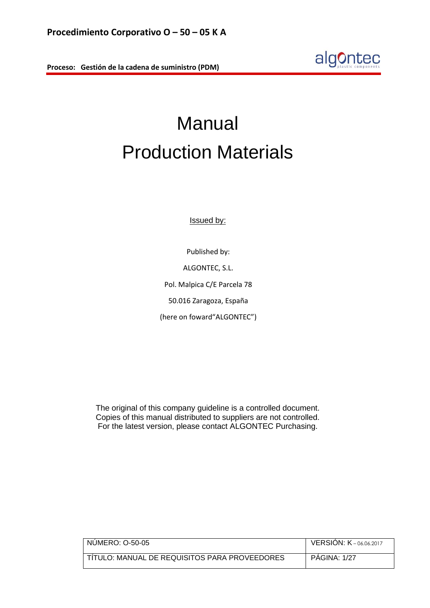

# Manual Production Materials

Issued by:

Published by: ALGONTEC, S.L. Pol. Malpica C/E Parcela 78 50.016 Zaragoza, España (here on foward"ALGONTEC")

The original of this company guideline is a controlled document. Copies of this manual distributed to suppliers are not controlled. For the latest version, please contact ALGONTEC Purchasing.

| NUMERO: O-50-05                               | <b>VERSION: K-06.06.2017</b> |
|-----------------------------------------------|------------------------------|
|                                               |                              |
| TÍTULO: MANUAL DE REQUISITOS PARA PROVEEDORES | <b>PAGINA: 1/27</b>          |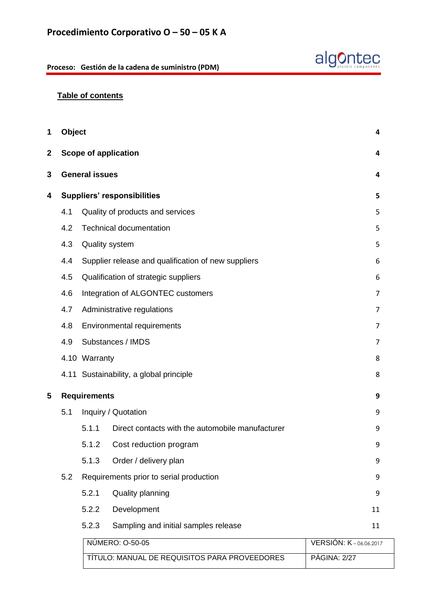

# **Table of contents**

| <b>Object</b> |                       |                                                     | 4                     |
|---------------|-----------------------|-----------------------------------------------------|-----------------------|
|               |                       | <b>Scope of application</b>                         | 4                     |
|               | <b>General issues</b> |                                                     | 4                     |
|               |                       | <b>Suppliers' responsibilities</b>                  | 5                     |
| 4.1           |                       | Quality of products and services                    | 5                     |
| 4.2           |                       | <b>Technical documentation</b>                      | 5                     |
| 4.3           |                       | <b>Quality system</b>                               | 5                     |
| 4.4           |                       | Supplier release and qualification of new suppliers | 6                     |
| 4.5           |                       | Qualification of strategic suppliers                | 6                     |
| 4.6           |                       | Integration of ALGONTEC customers                   | 7                     |
| 4.7           |                       | Administrative regulations                          | 7                     |
| 4.8           |                       | Environmental requirements                          | $\overline{7}$        |
| 4.9           |                       | Substances / IMDS                                   | 7                     |
|               | 4.10 Warranty         |                                                     | 8                     |
|               |                       | 4.11 Sustainability, a global principle             | 8                     |
|               | <b>Requirements</b>   |                                                     | 9                     |
| 5.1           |                       | Inquiry / Quotation                                 | 9                     |
|               | 5.1.1                 | Direct contacts with the automobile manufacturer    | 9                     |
|               | 5.1.2                 | Cost reduction program                              | 9                     |
|               | 5.1.3                 | Order / delivery plan                               | 9                     |
| 5.2           |                       | Requirements prior to serial production             | 9                     |
|               | 5.2.1                 | Quality planning                                    | 9                     |
|               | 5.2.2                 | Development                                         | 11                    |
|               | 5.2.3                 | Sampling and initial samples release                | 11                    |
|               |                       | NÚMERO: 0-50-05                                     | VERSIÓN: K-06.06.2017 |
|               |                       |                                                     |                       |

TÍTULO: MANUAL DE REQUISITOS PARA PROVEEDORES | PÁGINA: 2/27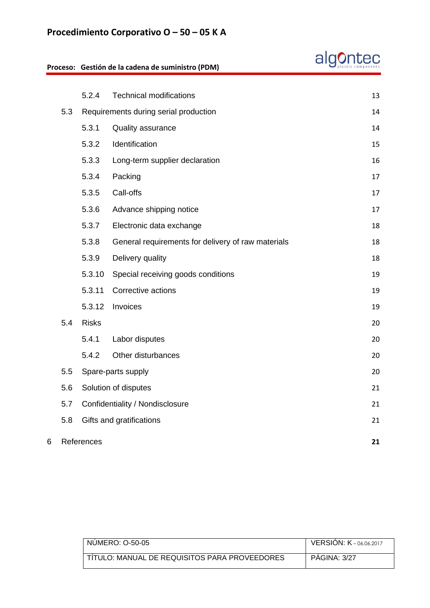# **Procedimiento Corporativo O – 50 – 05 K A**

|     |              | Proceso: Gestión de la cadena de suministro (PDM)  |    |
|-----|--------------|----------------------------------------------------|----|
|     |              |                                                    |    |
|     | 5.2.4        | <b>Technical modifications</b>                     | 13 |
| 5.3 |              | Requirements during serial production              | 14 |
|     | 5.3.1        | <b>Quality assurance</b>                           | 14 |
|     | 5.3.2        | Identification                                     | 15 |
|     | 5.3.3        | Long-term supplier declaration                     | 16 |
|     | 5.3.4        | Packing                                            | 17 |
|     | 5.3.5        | Call-offs                                          | 17 |
|     | 5.3.6        | Advance shipping notice                            | 17 |
|     | 5.3.7        | Electronic data exchange                           | 18 |
|     | 5.3.8        | General requirements for delivery of raw materials | 18 |
|     | 5.3.9        | Delivery quality                                   | 18 |
|     | 5.3.10       | Special receiving goods conditions                 | 19 |
|     | 5.3.11       | Corrective actions                                 | 19 |
|     | 5.3.12       | Invoices                                           | 19 |
| 5.4 | <b>Risks</b> |                                                    | 20 |
|     | 5.4.1        | Labor disputes                                     | 20 |
|     | 5.4.2        | Other disturbances                                 | 20 |
| 5.5 |              | Spare-parts supply                                 | 20 |
| 5.6 |              | Solution of disputes                               | 21 |
| 5.7 |              | Confidentiality / Nondisclosure                    | 21 |
| 5.8 |              | Gifts and gratifications                           | 21 |
|     | References   |                                                    | 21 |

| NUMERO: 0-50-05                               | <b>VERSION: <math>K</math></b> – 06.06.2017 |
|-----------------------------------------------|---------------------------------------------|
| TITULO: MANUAL DE REQUISITOS PARA PROVEEDORES | <b>PAGINA: 3/27</b>                         |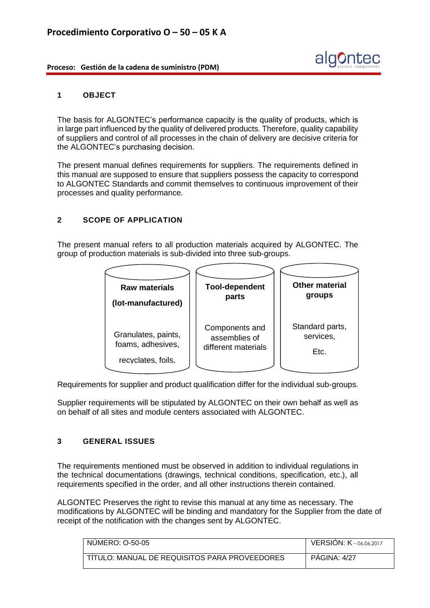

#### **1 OBJECT**

The basis for ALGONTEC's performance capacity is the quality of products, which is in large part influenced by the quality of delivered products. Therefore, quality capability of suppliers and control of all processes in the chain of delivery are decisive criteria for the ALGONTEC's purchasing decision.

The present manual defines requirements for suppliers. The requirements defined in this manual are supposed to ensure that suppliers possess the capacity to correspond to ALGONTEC Standards and commit themselves to continuous improvement of their processes and quality performance.

# **2 SCOPE OF APPLICATION**

The present manual refers to all production materials acquired by ALGONTEC. The group of production materials is sub-divided into three sub-groups.



Requirements for supplier and product qualification differ for the individual sub-groups.

Supplier requirements will be stipulated by ALGONTEC on their own behalf as well as on behalf of all sites and module centers associated with ALGONTEC.

# **3 GENERAL ISSUES**

The requirements mentioned must be observed in addition to individual regulations in the technical documentations (drawings, technical conditions, specification, etc.), all requirements specified in the order, and all other instructions therein contained.

ALGONTEC Preserves the right to revise this manual at any time as necessary. The modifications by ALGONTEC will be binding and mandatory for the Supplier from the date of receipt of the notification with the changes sent by ALGONTEC.

| NUMERO: 0-50-05                                 | <b>VERSION: K-06.06.2017</b> |
|-------------------------------------------------|------------------------------|
| I TÍTULO: MANUAL DE REQUISITOS PARA PROVEEDORES | <b>PAGINA: 4/27</b>          |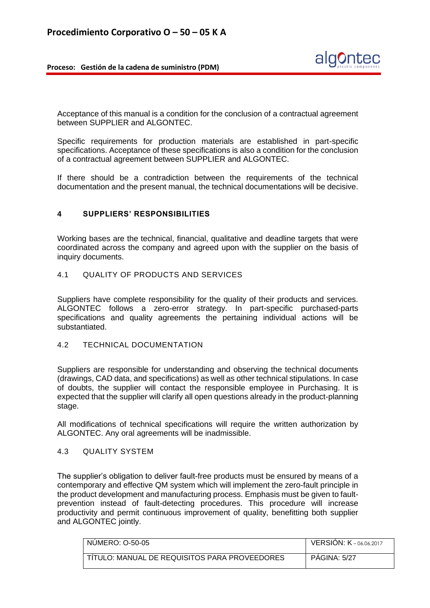

Acceptance of this manual is a condition for the conclusion of a contractual agreement between SUPPLIER and ALGONTEC.

Specific requirements for production materials are established in part-specific specifications. Acceptance of these specifications is also a condition for the conclusion of a contractual agreement between SUPPLIER and ALGONTEC.

If there should be a contradiction between the requirements of the technical documentation and the present manual, the technical documentations will be decisive.

#### **4 SUPPLIERS' RESPONSIBILITIES**

Working bases are the technical, financial, qualitative and deadline targets that were coordinated across the company and agreed upon with the supplier on the basis of inquiry documents.

# 4.1 QUALITY OF PRODUCTS AND SERVICES

Suppliers have complete responsibility for the quality of their products and services. ALGONTEC follows a zero-error strategy. In part-specific purchased-parts specifications and quality agreements the pertaining individual actions will be substantiated.

#### 4.2 TECHNICAL DOCUMENTATION

Suppliers are responsible for understanding and observing the technical documents (drawings, CAD data, and specifications) as well as other technical stipulations. In case of doubts, the supplier will contact the responsible employee in Purchasing. It is expected that the supplier will clarify all open questions already in the product-planning stage.

All modifications of technical specifications will require the written authorization by ALGONTEC. Any oral agreements will be inadmissible.

#### 4.3 QUALITY SYSTEM

The supplier's obligation to deliver fault-free products must be ensured by means of a contemporary and effective QM system which will implement the zero-fault principle in the product development and manufacturing process. Emphasis must be given to faultprevention instead of fault-detecting procedures. This procedure will increase productivity and permit continuous improvement of quality, benefitting both supplier and ALGONTEC jointly.

| NUMERO: 0-50-05                               | <b>VERSION: K</b> -06.06.2017 |
|-----------------------------------------------|-------------------------------|
| TITULO: MANUAL DE REQUISITOS PARA PROVEEDORES | <b>PAGINA: 5/27</b>           |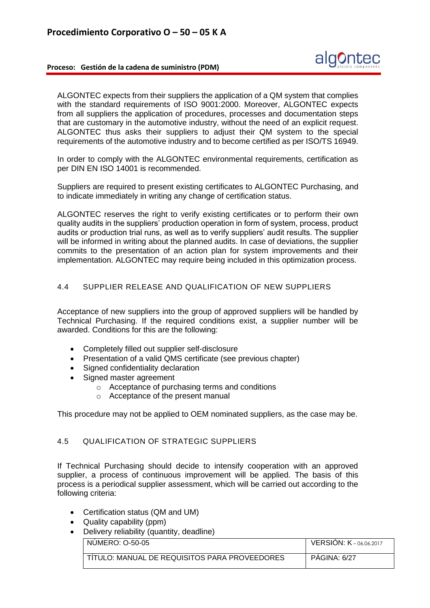ALGONTEC expects from their suppliers the application of a QM system that complies with the standard requirements of ISO 9001:2000. Moreover, ALGONTEC expects from all suppliers the application of procedures, processes and documentation steps that are customary in the automotive industry, without the need of an explicit request. ALGONTEC thus asks their suppliers to adjust their QM system to the special requirements of the automotive industry and to become certified as per ISO/TS 16949.

In order to comply with the ALGONTEC environmental requirements, certification as per DIN EN ISO 14001 is recommended.

Suppliers are required to present existing certificates to ALGONTEC Purchasing, and to indicate immediately in writing any change of certification status.

ALGONTEC reserves the right to verify existing certificates or to perform their own quality audits in the suppliers' production operation in form of system, process, product audits or production trial runs, as well as to verify suppliers' audit results. The supplier will be informed in writing about the planned audits. In case of deviations, the supplier commits to the presentation of an action plan for system improvements and their implementation. ALGONTEC may require being included in this optimization process.

# 4.4 SUPPLIER RELEASE AND QUALIFICATION OF NEW SUPPLIERS

Acceptance of new suppliers into the group of approved suppliers will be handled by Technical Purchasing. If the required conditions exist, a supplier number will be awarded. Conditions for this are the following:

- Completely filled out supplier self-disclosure
- Presentation of a valid QMS certificate (see previous chapter)
- Signed confidentiality declaration
- Signed master agreement
	- o Acceptance of purchasing terms and conditions
	- o Acceptance of the present manual

This procedure may not be applied to OEM nominated suppliers, as the case may be.

# 4.5 QUALIFICATION OF STRATEGIC SUPPLIERS

If Technical Purchasing should decide to intensify cooperation with an approved supplier, a process of continuous improvement will be applied. The basis of this process is a periodical supplier assessment, which will be carried out according to the following criteria:

- Certification status (QM and UM)
- Quality capability (ppm)
- Delivery reliability (quantity, deadline)

| NUMERO: 0-50-05                               | <b>VERSION: K</b> -06.06.2017 |
|-----------------------------------------------|-------------------------------|
| TITULO: MANUAL DE REQUISITOS PARA PROVEEDORES | PAGINA: 6/27                  |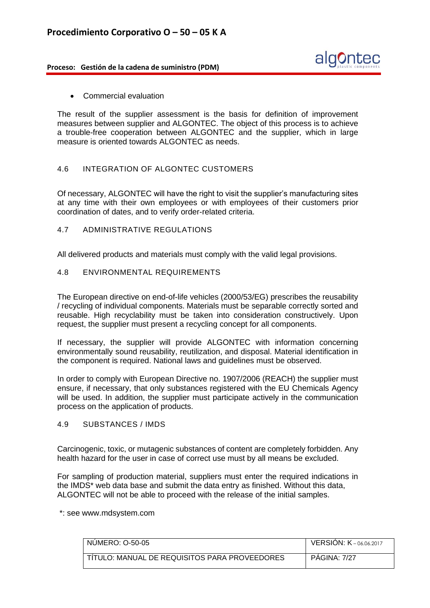

• Commercial evaluation

The result of the supplier assessment is the basis for definition of improvement measures between supplier and ALGONTEC. The object of this process is to achieve a trouble-free cooperation between ALGONTEC and the supplier, which in large measure is oriented towards ALGONTEC as needs.

#### 4.6 INTEGRATION OF ALGONTEC CUSTOMERS

Of necessary, ALGONTEC will have the right to visit the supplier's manufacturing sites at any time with their own employees or with employees of their customers prior coordination of dates, and to verify order-related criteria.

4.7 ADMINISTRATIVE REGULATIONS

All delivered products and materials must comply with the valid legal provisions.

#### 4.8 ENVIRONMENTAL REQUIREMENTS

The European directive on end-of-life vehicles (2000/53/EG) prescribes the reusability / recycling of individual components. Materials must be separable correctly sorted and reusable. High recyclability must be taken into consideration constructively. Upon request, the supplier must present a recycling concept for all components.

If necessary, the supplier will provide ALGONTEC with information concerning environmentally sound reusability, reutilization, and disposal. Material identification in the component is required. National laws and guidelines must be observed.

In order to comply with European Directive no. 1907/2006 (REACH) the supplier must ensure, if necessary, that only substances registered with the EU Chemicals Agency will be used. In addition, the supplier must participate actively in the communication process on the application of products.

#### 4.9 SUBSTANCES / IMDS

Carcinogenic, toxic, or mutagenic substances of content are completely forbidden. Any health hazard for the user in case of correct use must by all means be excluded.

For sampling of production material, suppliers must enter the required indications in the IMDS\* web data base and submit the data entry as finished. Without this data, ALGONTEC will not be able to proceed with the release of the initial samples.

\*: see www.mdsystem.com

| NUMERO: 0-50-05                               | <b>VERSION: K-06.06.2017</b> |
|-----------------------------------------------|------------------------------|
| TITULO: MANUAL DE REQUISITOS PARA PROVEEDORES | <b>PAGINA: 7/27</b>          |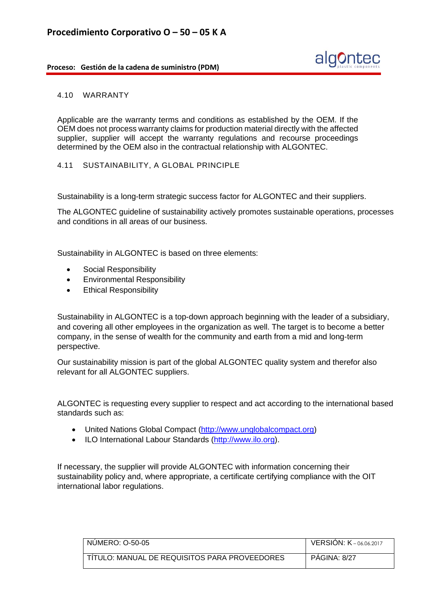

#### 4.10 WARRANTY

Applicable are the warranty terms and conditions as established by the OEM. If the OEM does not process warranty claims for production material directly with the affected supplier, supplier will accept the warranty regulations and recourse proceedings determined by the OEM also in the contractual relationship with ALGONTEC.

#### 4.11 SUSTAINABILITY, A GLOBAL PRINCIPLE

Sustainability is a long-term strategic success factor for ALGONTEC and their suppliers.

The ALGONTEC guideline of sustainability actively promotes sustainable operations, processes and conditions in all areas of our business.

Sustainability in ALGONTEC is based on three elements:

- Social Responsibility
- Environmental Responsibility
- Ethical Responsibility

Sustainability in ALGONTEC is a top-down approach beginning with the leader of a subsidiary, and covering all other employees in the organization as well. The target is to become a better company, in the sense of wealth for the community and earth from a mid and long-term perspective.

Our sustainability mission is part of the global ALGONTEC quality system and therefor also relevant for all ALGONTEC suppliers.

ALGONTEC is requesting every supplier to respect and act according to the international based standards such as:

- United Nations Global Compact [\(http://www.unglobalcompact.org\)](http://www.unglobalcompact.org/)
- ILO International Labour Standards [\(http://www.ilo.org\)](http://www.ilo.org/).

If necessary, the supplier will provide ALGONTEC with information concerning their sustainability policy and, where appropriate, a certificate certifying compliance with the OIT international labor regulations.

| NUMERO: 0-50-05                               | <b>VERSION: K-06.06.2017</b> |
|-----------------------------------------------|------------------------------|
| TITULO: MANUAL DE REQUISITOS PARA PROVEEDORES | <b>PAGINA: 8/27</b>          |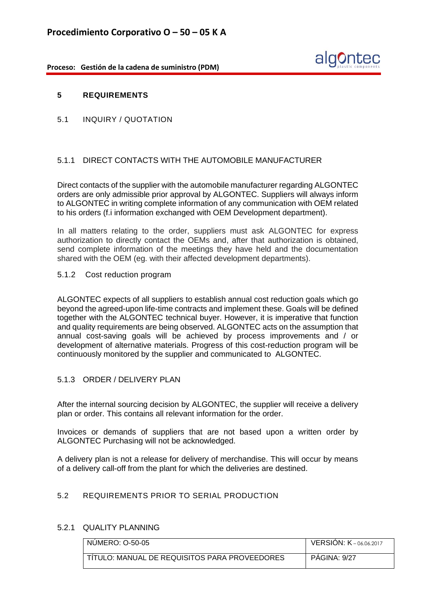

#### **5 REQUIREMENTS**

5.1 INQUIRY / QUOTATION

# 5.1.1 DIRECT CONTACTS WITH THE AUTOMOBILE MANUFACTURER

Direct contacts of the supplier with the automobile manufacturer regarding ALGONTEC orders are only admissible prior approval by ALGONTEC. Suppliers will always inform to ALGONTEC in writing complete information of any communication with OEM related to his orders (f.i information exchanged with OEM Development department).

In all matters relating to the order, suppliers must ask ALGONTEC for express authorization to directly contact the OEMs and, after that authorization is obtained, send complete information of the meetings they have held and the documentation shared with the OEM (eg. with their affected development departments).

#### 5.1.2 Cost reduction program

ALGONTEC expects of all suppliers to establish annual cost reduction goals which go beyond the agreed-upon life-time contracts and implement these. Goals will be defined together with the ALGONTEC technical buyer. However, it is imperative that function and quality requirements are being observed. ALGONTEC acts on the assumption that annual cost-saving goals will be achieved by process improvements and / or development of alternative materials. Progress of this cost-reduction program will be continuously monitored by the supplier and communicated to ALGONTEC.

# 5.1.3 ORDER / DELIVERY PLAN

After the internal sourcing decision by ALGONTEC, the supplier will receive a delivery plan or order. This contains all relevant information for the order.

Invoices or demands of suppliers that are not based upon a written order by ALGONTEC Purchasing will not be acknowledged.

A delivery plan is not a release for delivery of merchandise. This will occur by means of a delivery call-off from the plant for which the deliveries are destined.

# 5.2 REQUIREMENTS PRIOR TO SERIAL PRODUCTION

### 5.2.1 QUALITY PLANNING

| NUMERO: 0-50-05                               | <b>VERSION: <math>K</math></b> – 06.06.2017 |
|-----------------------------------------------|---------------------------------------------|
| TITULO: MANUAL DE REQUISITOS PARA PROVEEDORES | <b>PAGINA: 9/27</b>                         |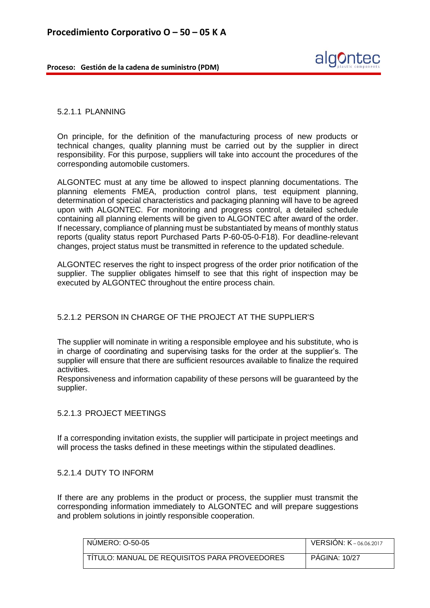

#### 5.2.1.1 PLANNING

On principle, for the definition of the manufacturing process of new products or technical changes, quality planning must be carried out by the supplier in direct responsibility. For this purpose, suppliers will take into account the procedures of the corresponding automobile customers.

ALGONTEC must at any time be allowed to inspect planning documentations. The planning elements FMEA, production control plans, test equipment planning, determination of special characteristics and packaging planning will have to be agreed upon with ALGONTEC. For monitoring and progress control, a detailed schedule containing all planning elements will be given to ALGONTEC after award of the order. If necessary, compliance of planning must be substantiated by means of monthly status reports (quality status report Purchased Parts P-60-05-0-F18). For deadline-relevant changes, project status must be transmitted in reference to the updated schedule.

ALGONTEC reserves the right to inspect progress of the order prior notification of the supplier. The supplier obligates himself to see that this right of inspection may be executed by ALGONTEC throughout the entire process chain.

# 5.2.1.2 PERSON IN CHARGE OF THE PROJECT AT THE SUPPLIER'S

The supplier will nominate in writing a responsible employee and his substitute, who is in charge of coordinating and supervising tasks for the order at the supplier's. The supplier will ensure that there are sufficient resources available to finalize the required activities.

Responsiveness and information capability of these persons will be guaranteed by the supplier.

#### 5.2.1.3 PROJECT MEETINGS

If a corresponding invitation exists, the supplier will participate in project meetings and will process the tasks defined in these meetings within the stipulated deadlines.

#### 5.2.1.4 DUTY TO INFORM

If there are any problems in the product or process, the supplier must transmit the corresponding information immediately to ALGONTEC and will prepare suggestions and problem solutions in jointly responsible cooperation.

| NUMERO: 0-50-05                               | <b>VERSION: K-06.06.2017</b> |
|-----------------------------------------------|------------------------------|
| TITULO: MANUAL DE REQUISITOS PARA PROVEEDORES | <b>PAGINA: 10/27</b>         |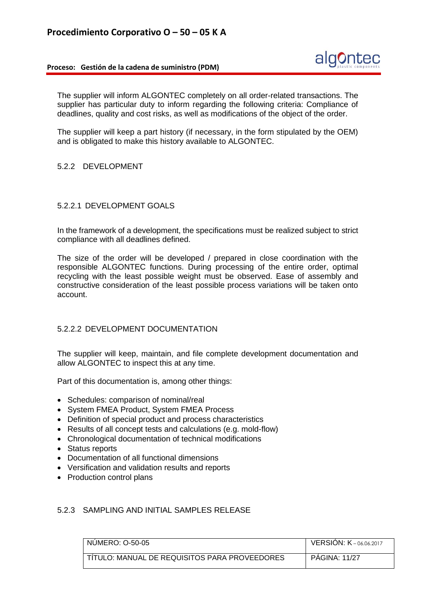

The supplier will inform ALGONTEC completely on all order-related transactions. The supplier has particular duty to inform regarding the following criteria: Compliance of deadlines, quality and cost risks, as well as modifications of the object of the order.

The supplier will keep a part history (if necessary, in the form stipulated by the OEM) and is obligated to make this history available to ALGONTEC.

#### 5.2.2 DEVELOPMENT

#### 5.2.2.1 DEVELOPMENT GOALS

In the framework of a development, the specifications must be realized subject to strict compliance with all deadlines defined.

The size of the order will be developed / prepared in close coordination with the responsible ALGONTEC functions. During processing of the entire order, optimal recycling with the least possible weight must be observed. Ease of assembly and constructive consideration of the least possible process variations will be taken onto account.

# 5.2.2.2 DEVELOPMENT DOCUMENTATION

The supplier will keep, maintain, and file complete development documentation and allow ALGONTEC to inspect this at any time.

Part of this documentation is, among other things:

- Schedules: comparison of nominal/real
- System FMEA Product, System FMEA Process
- Definition of special product and process characteristics
- Results of all concept tests and calculations (e.g. mold-flow)
- Chronological documentation of technical modifications
- Status reports
- Documentation of all functional dimensions
- Versification and validation results and reports
- Production control plans

# 5.2.3 SAMPLING AND INITIAL SAMPLES RELEASE

| NUMERO: 0-50-05                               | <b>VERSION: K-06.06.2017</b> |
|-----------------------------------------------|------------------------------|
| TITULO: MANUAL DE REQUISITOS PARA PROVEEDORES | <b>PAGINA: 11/27</b>         |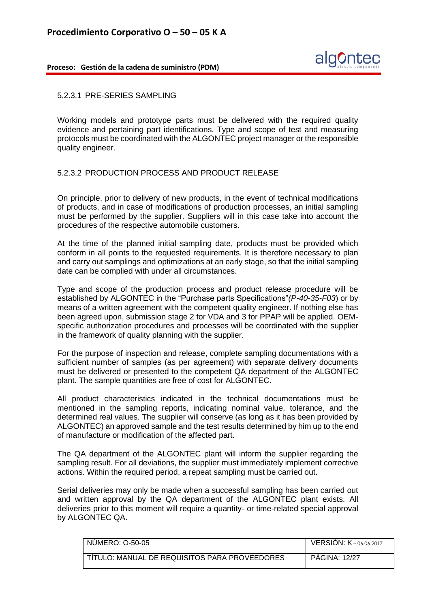

#### 5.2.3.1 PRE-SERIES SAMPLING

Working models and prototype parts must be delivered with the required quality evidence and pertaining part identifications. Type and scope of test and measuring protocols must be coordinated with the ALGONTEC project manager or the responsible quality engineer.

# 5.2.3.2 PRODUCTION PROCESS AND PRODUCT RELEASE

On principle, prior to delivery of new products, in the event of technical modifications of products, and in case of modifications of production processes, an initial sampling must be performed by the supplier. Suppliers will in this case take into account the procedures of the respective automobile customers.

At the time of the planned initial sampling date, products must be provided which conform in all points to the requested requirements. It is therefore necessary to plan and carry out samplings and optimizations at an early stage, so that the initial sampling date can be complied with under all circumstances.

Type and scope of the production process and product release procedure will be established by ALGONTEC in the "Purchase parts Specifications"*(P-40-35-F03*) or by means of a written agreement with the competent quality engineer. If nothing else has been agreed upon, submission stage 2 for VDA and 3 for PPAP will be applied. OEMspecific authorization procedures and processes will be coordinated with the supplier in the framework of quality planning with the supplier.

For the purpose of inspection and release, complete sampling documentations with a sufficient number of samples (as per agreement) with separate delivery documents must be delivered or presented to the competent QA department of the ALGONTEC plant. The sample quantities are free of cost for ALGONTEC.

All product characteristics indicated in the technical documentations must be mentioned in the sampling reports, indicating nominal value, tolerance, and the determined real values. The supplier will conserve (as long as it has been provided by ALGONTEC) an approved sample and the test results determined by him up to the end of manufacture or modification of the affected part.

The QA department of the ALGONTEC plant will inform the supplier regarding the sampling result. For all deviations, the supplier must immediately implement corrective actions. Within the required period, a repeat sampling must be carried out.

Serial deliveries may only be made when a successful sampling has been carried out and written approval by the QA department of the ALGONTEC plant exists. All deliveries prior to this moment will require a quantity- or time-related special approval by ALGONTEC QA.

| NUMERO: 0-50-05                               | <b>VERSION: K-06.06.2017</b> |
|-----------------------------------------------|------------------------------|
| TÍTULO: MANUAL DE REQUISITOS PARA PROVEEDORES | <b>PAGINA: 12/27</b>         |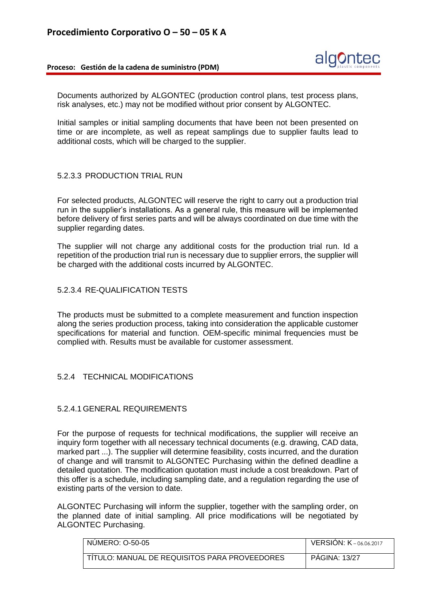

Documents authorized by ALGONTEC (production control plans, test process plans, risk analyses, etc.) may not be modified without prior consent by ALGONTEC.

Initial samples or initial sampling documents that have been not been presented on time or are incomplete, as well as repeat samplings due to supplier faults lead to additional costs, which will be charged to the supplier.

#### 5.2.3.3 PRODUCTION TRIAL RUN

For selected products, ALGONTEC will reserve the right to carry out a production trial run in the supplier's installations. As a general rule, this measure will be implemented before delivery of first series parts and will be always coordinated on due time with the supplier regarding dates.

The supplier will not charge any additional costs for the production trial run. Id a repetition of the production trial run is necessary due to supplier errors, the supplier will be charged with the additional costs incurred by ALGONTEC.

#### 5.2.3.4 RE-QUALIFICATION TESTS

The products must be submitted to a complete measurement and function inspection along the series production process, taking into consideration the applicable customer specifications for material and function. OEM-specific minimal frequencies must be complied with. Results must be available for customer assessment.

# 5.2.4 TECHNICAL MODIFICATIONS

# 5.2.4.1 GENERAL REQUIREMENTS

For the purpose of requests for technical modifications, the supplier will receive an inquiry form together with all necessary technical documents (e.g. drawing, CAD data, marked part ...). The supplier will determine feasibility, costs incurred, and the duration of change and will transmit to ALGONTEC Purchasing within the defined deadline a detailed quotation. The modification quotation must include a cost breakdown. Part of this offer is a schedule, including sampling date, and a regulation regarding the use of existing parts of the version to date.

ALGONTEC Purchasing will inform the supplier, together with the sampling order, on the planned date of initial sampling. All price modifications will be negotiated by ALGONTEC Purchasing.

| NUMERO: 0-50-05                               | <b>VERSION: K-06.06.2017</b> |
|-----------------------------------------------|------------------------------|
| TÍTULO: MANUAL DE REQUISITOS PARA PROVEEDORES | <b>PAGINA: 13/27</b>         |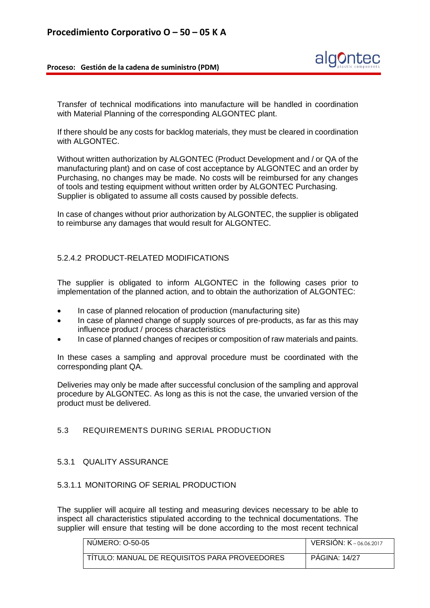

Transfer of technical modifications into manufacture will be handled in coordination with Material Planning of the corresponding ALGONTEC plant.

If there should be any costs for backlog materials, they must be cleared in coordination with ALGONTEC.

Without written authorization by ALGONTEC (Product Development and / or QA of the manufacturing plant) and on case of cost acceptance by ALGONTEC and an order by Purchasing, no changes may be made. No costs will be reimbursed for any changes of tools and testing equipment without written order by ALGONTEC Purchasing. Supplier is obligated to assume all costs caused by possible defects.

In case of changes without prior authorization by ALGONTEC, the supplier is obligated to reimburse any damages that would result for ALGONTEC.

# 5.2.4.2 PRODUCT-RELATED MODIFICATIONS

The supplier is obligated to inform ALGONTEC in the following cases prior to implementation of the planned action, and to obtain the authorization of ALGONTEC:

- In case of planned relocation of production (manufacturing site)
- In case of planned change of supply sources of pre-products, as far as this may influence product / process characteristics
- In case of planned changes of recipes or composition of raw materials and paints.

In these cases a sampling and approval procedure must be coordinated with the corresponding plant QA.

Deliveries may only be made after successful conclusion of the sampling and approval procedure by ALGONTEC. As long as this is not the case, the unvaried version of the product must be delivered.

# 5.3 REQUIREMENTS DURING SERIAL PRODUCTION

#### 5.3.1 QUALITY ASSURANCE

#### 5.3.1.1 MONITORING OF SERIAL PRODUCTION

The supplier will acquire all testing and measuring devices necessary to be able to inspect all characteristics stipulated according to the technical documentations. The supplier will ensure that testing will be done according to the most recent technical

| NUMERO: 0-50-05                               | <b>VERSION: <math>K - 06,06,2017</math></b> |
|-----------------------------------------------|---------------------------------------------|
| TITULO: MANUAL DE REQUISITOS PARA PROVEEDORES | <b>PAGINA: 14/27</b>                        |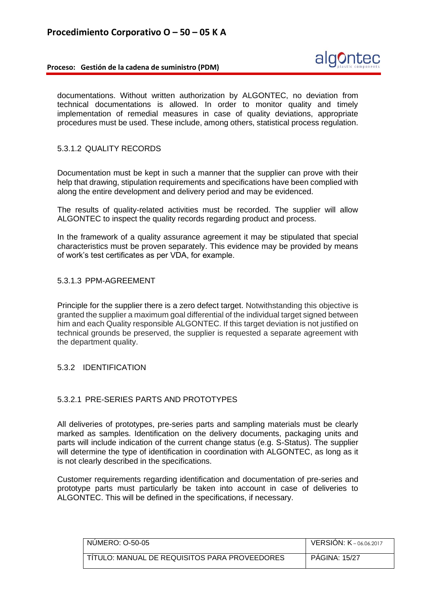

documentations. Without written authorization by ALGONTEC, no deviation from technical documentations is allowed. In order to monitor quality and timely implementation of remedial measures in case of quality deviations, appropriate procedures must be used. These include, among others, statistical process regulation.

#### 5.3.1.2 QUALITY RECORDS

Documentation must be kept in such a manner that the supplier can prove with their help that drawing, stipulation requirements and specifications have been complied with along the entire development and delivery period and may be evidenced.

The results of quality-related activities must be recorded. The supplier will allow ALGONTEC to inspect the quality records regarding product and process.

In the framework of a quality assurance agreement it may be stipulated that special characteristics must be proven separately. This evidence may be provided by means of work's test certificates as per VDA, for example.

# 5.3.1.3 PPM-AGREEMENT

Principle for the supplier there is a zero defect target. Notwithstanding this objective is granted the supplier a maximum goal differential of the individual target signed between him and each Quality responsible ALGONTEC. If this target deviation is not justified on technical grounds be preserved, the supplier is requested a separate agreement with the department quality.

### 5.3.2 IDENTIFICATION

#### 5.3.2.1 PRE-SERIES PARTS AND PROTOTYPES

All deliveries of prototypes, pre-series parts and sampling materials must be clearly marked as samples. Identification on the delivery documents, packaging units and parts will include indication of the current change status (e.g. S-Status). The supplier will determine the type of identification in coordination with ALGONTEC, as long as it is not clearly described in the specifications.

Customer requirements regarding identification and documentation of pre-series and prototype parts must particularly be taken into account in case of deliveries to ALGONTEC. This will be defined in the specifications, if necessary.

| NUMERO: 0-50-05                               | <b>VERSION: K-06.06.2017</b> |
|-----------------------------------------------|------------------------------|
| TITULO: MANUAL DE REQUISITOS PARA PROVEEDORES | <b>PAGINA: 15/27</b>         |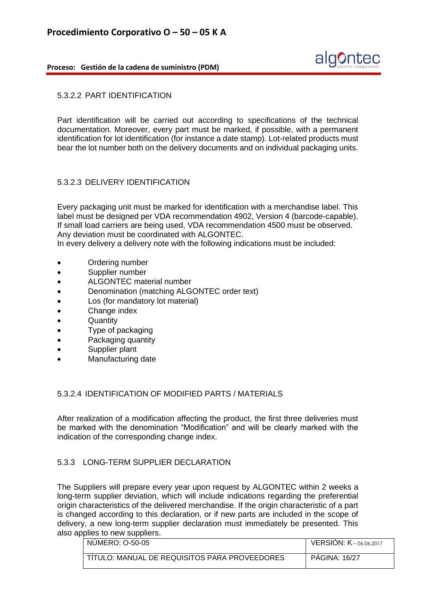

#### 5.3.2.2 PART IDENTIFICATION

Part identification will be carried out according to specifications of the technical documentation. Moreover, every part must be marked, if possible, with a permanent identification for lot identification (for instance a date stamp). Lot-related products must bear the lot number both on the delivery documents and on individual packaging units.

# 5.3.2.3 DELIVERY IDENTIFICATION

Every packaging unit must be marked for identification with a merchandise label. This label must be designed per VDA recommendation 4902, Version 4 (barcode-capable). If small load carriers are being used, VDA recommendation 4500 must be observed. Any deviation must be coordinated with ALGONTEC.

In every delivery a delivery note with the following indications must be included:

- Ordering number
- Supplier number
- ALGONTEC material number
- Denomination (matching ALGONTEC order text)
- Los (for mandatory lot material)
- Change index
- **Quantity**
- Type of packaging
- Packaging quantity
- Supplier plant
- Manufacturing date

#### 5.3.2.4 IDENTIFICATION OF MODIFIED PARTS / MATERIALS

After realization of a modification affecting the product, the first three deliveries must be marked with the denomination "Modification" and will be clearly marked with the indication of the corresponding change index.

# 5.3.3 LONG-TERM SUPPLIER DECLARATION

The Suppliers will prepare every year upon request by ALGONTEC within 2 weeks a long-term supplier deviation, which will include indications regarding the preferential origin characteristics of the delivered merchandise. If the origin characteristic of a part is changed according to this declaration, or if new parts are included in the scope of delivery, a new long-term supplier declaration must immediately be presented. This also applies to new suppliers.

| NUMERO: 0-50-05                               | VERSION: K-06.06.2017 |
|-----------------------------------------------|-----------------------|
| TITULO: MANUAL DE REQUISITOS PARA PROVEEDORES | <b>PAGINA: 16/27</b>  |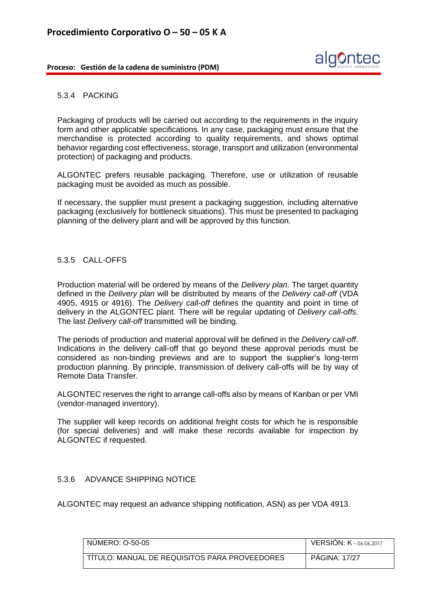

#### 5.3.4 PACKING

Packaging of products will be carried out according to the requirements in the inquiry form and other applicable specifications. In any case, packaging must ensure that the merchandise is protected according to quality requirements, and shows optimal behavior regarding cost effectiveness, storage, transport and utilization (environmental protection) of packaging and products.

ALGONTEC prefers reusable packaging. Therefore, use or utilization of reusable packaging must be avoided as much as possible.

If necessary, the supplier must present a packaging suggestion, including alternative packaging (exclusively for bottleneck situations). This must be presented to packaging planning of the delivery plant and will be approved by this function.

#### 5.3.5 CALL-OFFS

Production material will be ordered by means of the *Delivery plan*. The target quantity defined in the *Delivery plan* will be distributed by means of the *Delivery call-off* (VDA 4905, 4915 or 4916). The *Delivery call-off* defines the quantity and point in time of delivery in the ALGONTEC plant. There will be regular updating of *Delivery call-offs*. The last *Delivery call-off* transmitted will be binding.

The periods of production and material approval will be defined in the *Delivery call-off*. Indications in the delivery call-off that go beyond these approval periods must be considered as non-binding previews and are to support the supplier's long-term production planning. By principle, transmission of delivery call-offs will be by way of Remote Data Transfer.

ALGONTEC reserves the right to arrange call-offs also by means of Kanban or per VMI (vendor-managed inventory).

The supplier will keep records on additional freight costs for which he is responsible (for special deliveries) and will make these records available for inspection by ALGONTEC if requested.

# 5.3.6 ADVANCE SHIPPING NOTICE

ALGONTEC may request an advance shipping notification, ASN) as per VDA 4913.

| NUMERO: 0-50-05                               | VERSIÓN: K-06.06.2017 |
|-----------------------------------------------|-----------------------|
| TITULO: MANUAL DE REQUISITOS PARA PROVEEDORES | <b>PAGINA: 17/27</b>  |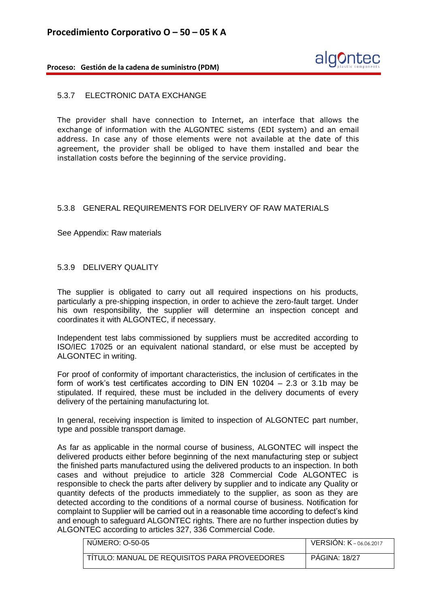

#### 5.3.7 ELECTRONIC DATA EXCHANGE

The provider shall have connection to Internet, an interface that allows the exchange of information with the ALGONTEC sistems (EDI system) and an email address. In case any of those elements were not available at the date of this agreement, the provider shall be obliged to have them installed and bear the installation costs before the beginning of the service providing.

# 5.3.8 GENERAL REQUIREMENTS FOR DELIVERY OF RAW MATERIALS

See Appendix: Raw materials

#### 5.3.9 DELIVERY QUALITY

The supplier is obligated to carry out all required inspections on his products, particularly a pre-shipping inspection, in order to achieve the zero-fault target. Under his own responsibility, the supplier will determine an inspection concept and coordinates it with ALGONTEC, if necessary.

Independent test labs commissioned by suppliers must be accredited according to ISO/IEC 17025 or an equivalent national standard, or else must be accepted by ALGONTEC in writing.

For proof of conformity of important characteristics, the inclusion of certificates in the form of work's test certificates according to DIN EN 10204 – 2.3 or 3.1b may be stipulated. If required, these must be included in the delivery documents of every delivery of the pertaining manufacturing lot.

In general, receiving inspection is limited to inspection of ALGONTEC part number, type and possible transport damage.

As far as applicable in the normal course of business, ALGONTEC will inspect the delivered products either before beginning of the next manufacturing step or subject the finished parts manufactured using the delivered products to an inspection. In both cases and without prejudice to article 328 Commercial Code ALGONTEC is responsible to check the parts after delivery by supplier and to indicate any Quality or quantity defects of the products immediately to the supplier, as soon as they are detected according to the conditions of a normal course of business. Notification for complaint to Supplier will be carried out in a reasonable time according to defect's kind and enough to safeguard ALGONTEC rights. There are no further inspection duties by ALGONTEC according to articles 327, 336 Commercial Code.

| NUMERO: 0-50-05                               | <b>VERSION: K-06.06.2017</b> |
|-----------------------------------------------|------------------------------|
| TITULO: MANUAL DE REQUISITOS PARA PROVEEDORES | <b>PAGINA: 18/27</b>         |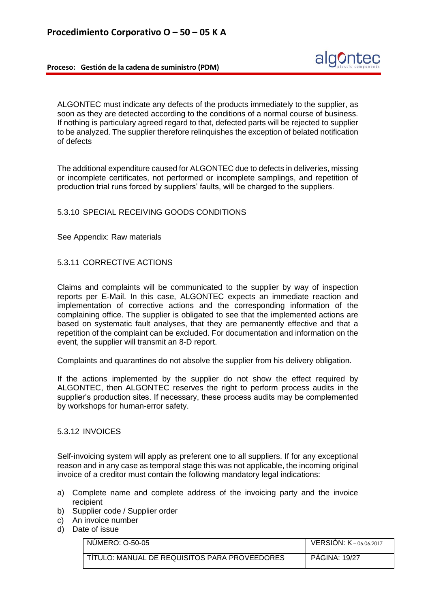ALGONTEC must indicate any defects of the products immediately to the supplier, as soon as they are detected according to the conditions of a normal course of business. If nothing is particulary agreed regard to that, defected parts will be rejected to supplier to be analyzed. The supplier therefore relinquishes the exception of belated notification of defects

The additional expenditure caused for ALGONTEC due to defects in deliveries, missing or incomplete certificates, not performed or incomplete samplings, and repetition of production trial runs forced by suppliers' faults, will be charged to the suppliers.

# 5.3.10 SPECIAL RECEIVING GOODS CONDITIONS

See Appendix: Raw materials

#### 5.3.11 CORRECTIVE ACTIONS

Claims and complaints will be communicated to the supplier by way of inspection reports per E-Mail. In this case, ALGONTEC expects an immediate reaction and implementation of corrective actions and the corresponding information of the complaining office. The supplier is obligated to see that the implemented actions are based on systematic fault analyses, that they are permanently effective and that a repetition of the complaint can be excluded. For documentation and information on the event, the supplier will transmit an 8-D report.

Complaints and quarantines do not absolve the supplier from his delivery obligation.

If the actions implemented by the supplier do not show the effect required by ALGONTEC, then ALGONTEC reserves the right to perform process audits in the supplier's production sites. If necessary, these process audits may be complemented by workshops for human-error safety.

#### 5.3.12 INVOICES

Self-invoicing system will apply as preferent one to all suppliers. If for any exceptional reason and in any case as temporal stage this was not applicable, the incoming original invoice of a creditor must contain the following mandatory legal indications:

- a) Complete name and complete address of the invoicing party and the invoice recipient
- b) Supplier code / Supplier order
- c) An invoice number
- d) Date of issue

| NUMERO: 0-50-05                               | <b>VERSION: K</b> -06.06.2017 |
|-----------------------------------------------|-------------------------------|
| TITULO: MANUAL DE REQUISITOS PARA PROVEEDORES | <b>PAGINA: 19/27</b>          |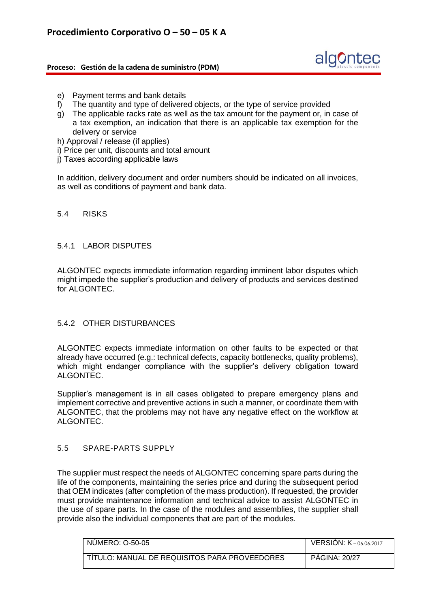

- e) Payment terms and bank details
- f) The quantity and type of delivered objects, or the type of service provided
- g) The applicable racks rate as well as the tax amount for the payment or, in case of a tax exemption, an indication that there is an applicable tax exemption for the delivery or service
- h) Approval / release (if applies)
- i) Price per unit, discounts and total amount
- j) Taxes according applicable laws

In addition, delivery document and order numbers should be indicated on all invoices, as well as conditions of payment and bank data.

#### 5.4 RISKS

#### 5.4.1 LABOR DISPUTES

ALGONTEC expects immediate information regarding imminent labor disputes which might impede the supplier's production and delivery of products and services destined for ALGONTEC.

# 5.4.2 OTHER DISTURBANCES

ALGONTEC expects immediate information on other faults to be expected or that already have occurred (e.g.: technical defects, capacity bottlenecks, quality problems), which might endanger compliance with the supplier's delivery obligation toward ALGONTEC.

Supplier's management is in all cases obligated to prepare emergency plans and implement corrective and preventive actions in such a manner, or coordinate them with ALGONTEC, that the problems may not have any negative effect on the workflow at ALGONTEC.

#### 5.5 SPARE-PARTS SUPPLY

The supplier must respect the needs of ALGONTEC concerning spare parts during the life of the components, maintaining the series price and during the subsequent period that OEM indicates (after completion of the mass production). If requested, the provider must provide maintenance information and technical advice to assist ALGONTEC in the use of spare parts. In the case of the modules and assemblies, the supplier shall provide also the individual components that are part of the modules.

| <b>NUMERO: 0-50-05</b>                        | <b>VERSION: K-06.06.2017</b> |
|-----------------------------------------------|------------------------------|
| TITULO: MANUAL DE REQUISITOS PARA PROVEEDORES | <b>PAGINA: 20/27</b>         |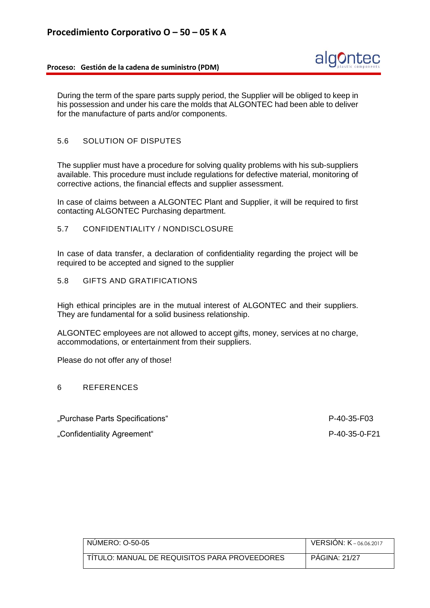

During the term of the spare parts supply period, the Supplier will be obliged to keep in his possession and under his care the molds that ALGONTEC had been able to deliver for the manufacture of parts and/or components.

# 5.6 SOLUTION OF DISPUTES

The supplier must have a procedure for solving quality problems with his sub-suppliers available. This procedure must include regulations for defective material, monitoring of corrective actions, the financial effects and supplier assessment.

In case of claims between a ALGONTEC Plant and Supplier, it will be required to first contacting ALGONTEC Purchasing department.

### 5.7 CONFIDENTIALITY / NONDISCLOSURE

In case of data transfer, a declaration of confidentiality regarding the project will be required to be accepted and signed to the supplier

5.8 GIFTS AND GRATIFICATIONS

High ethical principles are in the mutual interest of ALGONTEC and their suppliers. They are fundamental for a solid business relationship.

ALGONTEC employees are not allowed to accept gifts, money, services at no charge, accommodations, or entertainment from their suppliers.

Please do not offer any of those!

#### 6 REFERENCES

"Purchase Parts Specifications" P-40-35-F03

"Confidentiality Agreement" P-40-35-0-F21

| NUMERO: 0-50-05                               | <b>VERSION: K</b> -06.06.2017 |
|-----------------------------------------------|-------------------------------|
| TITULO: MANUAL DE REQUISITOS PARA PROVEEDORES | <b>PAGINA: 21/27</b>          |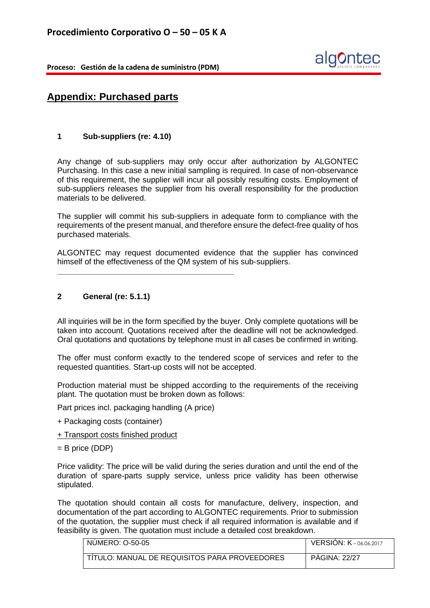

# **Appendix: Purchased parts**

# **1 Sub-suppliers (re: 4.10)**

Any change of sub-suppliers may only occur after authorization by ALGONTEC Purchasing. In this case a new initial sampling is required. In case of non-observance of this requirement, the supplier will incur all possibly resulting costs. Employment of sub-suppliers releases the supplier from his overall responsibility for the production materials to be delivered.

The supplier will commit his sub-suppliers in adequate form to compliance with the requirements of the present manual, and therefore ensure the defect-free quality of hos purchased materials.

ALGONTEC may request documented evidence that the supplier has convinced himself of the effectiveness of the QM system of his sub-suppliers.

# **2 General (re: 5.1.1)**

All inquiries will be in the form specified by the buyer. Only complete quotations will be taken into account. Quotations received after the deadline will not be acknowledged. Oral quotations and quotations by telephone must in all cases be confirmed in writing.

The offer must conform exactly to the tendered scope of services and refer to the requested quantities. Start-up costs will not be accepted.

Production material must be shipped according to the requirements of the receiving plant. The quotation must be broken down as follows:

Part prices incl. packaging handling (A price)

**\_\_\_\_\_\_\_\_\_\_\_\_\_\_\_\_\_\_\_\_\_\_\_\_\_\_\_\_\_\_\_\_\_\_\_\_\_\_\_\_**

- + Packaging costs (container)
- + Transport costs finished product
- = B price (DDP)

Price validity: The price will be valid during the series duration and until the end of the duration of spare-parts supply service, unless price validity has been otherwise stipulated.

The quotation should contain all costs for manufacture, delivery, inspection, and documentation of the part according to ALGONTEC requirements. Prior to submission of the quotation, the supplier must check if all required information is available and if feasibility is given. The quotation must include a detailed cost breakdown.

| NUMERO: 0-50-05                               | <b>VERSION: K-06.06.2017</b> |
|-----------------------------------------------|------------------------------|
| TITULO: MANUAL DE REQUISITOS PARA PROVEEDORES | <b>PAGINA: 22/27</b>         |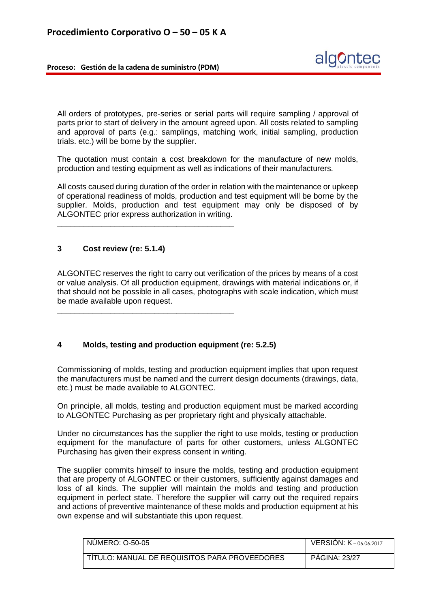

All orders of prototypes, pre-series or serial parts will require sampling / approval of parts prior to start of delivery in the amount agreed upon. All costs related to sampling and approval of parts (e.g.: samplings, matching work, initial sampling, production trials. etc.) will be borne by the supplier.

The quotation must contain a cost breakdown for the manufacture of new molds, production and testing equipment as well as indications of their manufacturers.

All costs caused during duration of the order in relation with the maintenance or upkeep of operational readiness of molds, production and test equipment will be borne by the supplier. Molds, production and test equipment may only be disposed of by ALGONTEC prior express authorization in writing.

# **3 Cost review (re: 5.1.4)**

**\_\_\_\_\_\_\_\_\_\_\_\_\_\_\_\_\_\_\_\_\_\_\_\_\_\_\_\_\_\_\_\_\_\_\_\_\_\_\_\_**

**\_\_\_\_\_\_\_\_\_\_\_\_\_\_\_\_\_\_\_\_\_\_\_\_\_\_\_\_\_\_\_\_\_\_\_\_\_\_\_\_**

ALGONTEC reserves the right to carry out verification of the prices by means of a cost or value analysis. Of all production equipment, drawings with material indications or, if that should not be possible in all cases, photographs with scale indication, which must be made available upon request.

# **4 Molds, testing and production equipment (re: 5.2.5)**

Commissioning of molds, testing and production equipment implies that upon request the manufacturers must be named and the current design documents (drawings, data, etc.) must be made available to ALGONTEC.

On principle, all molds, testing and production equipment must be marked according to ALGONTEC Purchasing as per proprietary right and physically attachable.

Under no circumstances has the supplier the right to use molds, testing or production equipment for the manufacture of parts for other customers, unless ALGONTEC Purchasing has given their express consent in writing.

The supplier commits himself to insure the molds, testing and production equipment that are property of ALGONTEC or their customers, sufficiently against damages and loss of all kinds. The supplier will maintain the molds and testing and production equipment in perfect state. Therefore the supplier will carry out the required repairs and actions of preventive maintenance of these molds and production equipment at his own expense and will substantiate this upon request.

| NUMERO: 0-50-05                               | <b>VERSION: K-06.06.2017</b> |
|-----------------------------------------------|------------------------------|
| TITULO: MANUAL DE REQUISITOS PARA PROVEEDORES | <b>PAGINA: 23/27</b>         |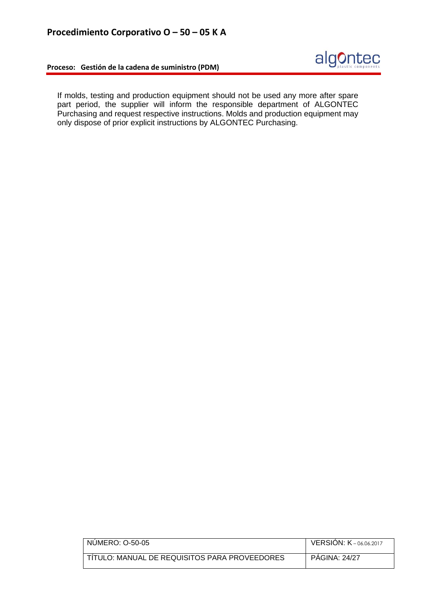



If molds, testing and production equipment should not be used any more after spare part period, the supplier will inform the responsible department of ALGONTEC Purchasing and request respective instructions. Molds and production equipment may only dispose of prior explicit instructions by ALGONTEC Purchasing.

| NUMERO: 0-50-05                               | <b>VERSION: K-06.06.2017</b> |
|-----------------------------------------------|------------------------------|
| TÍTULO: MANUAL DE REQUISITOS PARA PROVEEDORES | <b>PAGINA: 24/27</b>         |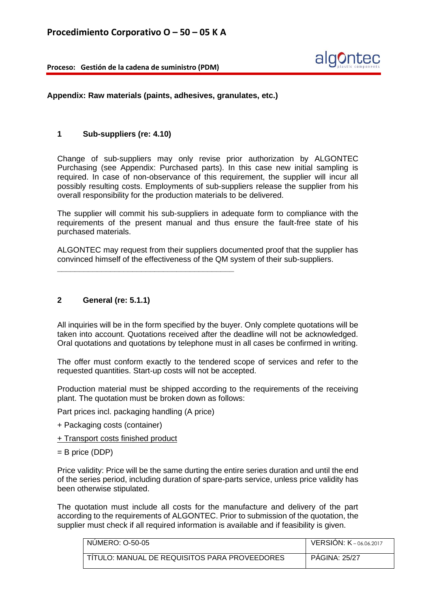

**Appendix: Raw materials (paints, adhesives, granulates, etc.)**

#### **1 Sub-suppliers (re: 4.10)**

Change of sub-suppliers may only revise prior authorization by ALGONTEC Purchasing (see Appendix: Purchased parts). In this case new initial sampling is required. In case of non-observance of this requirement, the supplier will incur all possibly resulting costs. Employments of sub-suppliers release the supplier from his overall responsibility for the production materials to be delivered.

The supplier will commit his sub-suppliers in adequate form to compliance with the requirements of the present manual and thus ensure the fault-free state of his purchased materials.

ALGONTEC may request from their suppliers documented proof that the supplier has convinced himself of the effectiveness of the QM system of their sub-suppliers.

# **2 General (re: 5.1.1)**

All inquiries will be in the form specified by the buyer. Only complete quotations will be taken into account. Quotations received after the deadline will not be acknowledged. Oral quotations and quotations by telephone must in all cases be confirmed in writing.

The offer must conform exactly to the tendered scope of services and refer to the requested quantities. Start-up costs will not be accepted.

Production material must be shipped according to the requirements of the receiving plant. The quotation must be broken down as follows:

Part prices incl. packaging handling (A price)

**\_\_\_\_\_\_\_\_\_\_\_\_\_\_\_\_\_\_\_\_\_\_\_\_\_\_\_\_\_\_\_\_\_\_\_\_\_\_\_\_**

- + Packaging costs (container)
- + Transport costs finished product
- $=$  B price (DDP)

Price validity: Price will be the same durting the entire series duration and until the end of the series period, including duration of spare-parts service, unless price validity has been otherwise stipulated.

The quotation must include all costs for the manufacture and delivery of the part according to the requirements of ALGONTEC. Prior to submission of the quotation, the supplier must check if all required information is available and if feasibility is given.

| NUMERO: 0-50-05                                        | <b>VERSION: K-06.06.2017</b> |
|--------------------------------------------------------|------------------------------|
|                                                        |                              |
| <u>I TITULO: MANUAL DE REQUISITOS PARA PROVEEDORES</u> | <b>PAGINA: 25/27</b>         |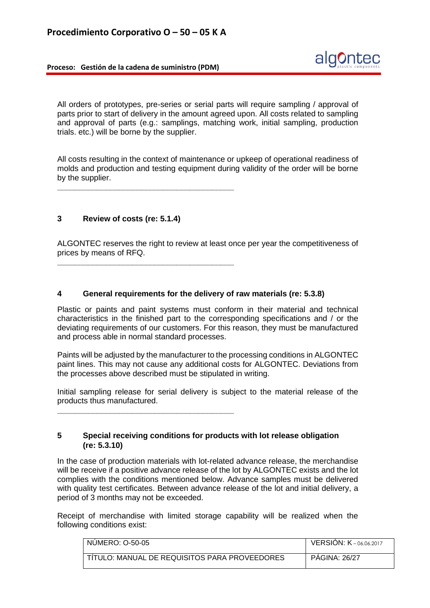

All orders of prototypes, pre-series or serial parts will require sampling / approval of parts prior to start of delivery in the amount agreed upon. All costs related to sampling and approval of parts (e.g.: samplings, matching work, initial sampling, production trials. etc.) will be borne by the supplier.

All costs resulting in the context of maintenance or upkeep of operational readiness of molds and production and testing equipment during validity of the order will be borne by the supplier.

**\_\_\_\_\_\_\_\_\_\_\_\_\_\_\_\_\_\_\_\_\_\_\_\_\_\_\_\_\_\_\_\_\_\_\_\_\_\_\_\_**

**\_\_\_\_\_\_\_\_\_\_\_\_\_\_\_\_\_\_\_\_\_\_\_\_\_\_\_\_\_\_\_\_\_\_\_\_\_\_\_\_**

**\_\_\_\_\_\_\_\_\_\_\_\_\_\_\_\_\_\_\_\_\_\_\_\_\_\_\_\_\_\_\_\_\_\_\_\_\_\_\_\_**

# **3 Review of costs (re: 5.1.4)**

ALGONTEC reserves the right to review at least once per year the competitiveness of prices by means of RFQ.

#### **4 General requirements for the delivery of raw materials (re: 5.3.8)**

Plastic or paints and paint systems must conform in their material and technical characteristics in the finished part to the corresponding specifications and / or the deviating requirements of our customers. For this reason, they must be manufactured and process able in normal standard processes.

Paints will be adjusted by the manufacturer to the processing conditions in ALGONTEC paint lines. This may not cause any additional costs for ALGONTEC. Deviations from the processes above described must be stipulated in writing.

Initial sampling release for serial delivery is subject to the material release of the products thus manufactured.

### **5 Special receiving conditions for products with lot release obligation (re: 5.3.10)**

In the case of production materials with lot-related advance release, the merchandise will be receive if a positive advance release of the lot by ALGONTEC exists and the lot complies with the conditions mentioned below. Advance samples must be delivered with quality test certificates. Between advance release of the lot and initial delivery, a period of 3 months may not be exceeded.

Receipt of merchandise with limited storage capability will be realized when the following conditions exist:

| NUMERO: 0-50-05                               | <b>VERSION: <math>K - 06,06,2017</math></b> |
|-----------------------------------------------|---------------------------------------------|
|                                               |                                             |
| TÍTULO: MANUAL DE REQUISITOS PARA PROVEEDORES | <b>PAGINA: 26/27</b>                        |
|                                               |                                             |